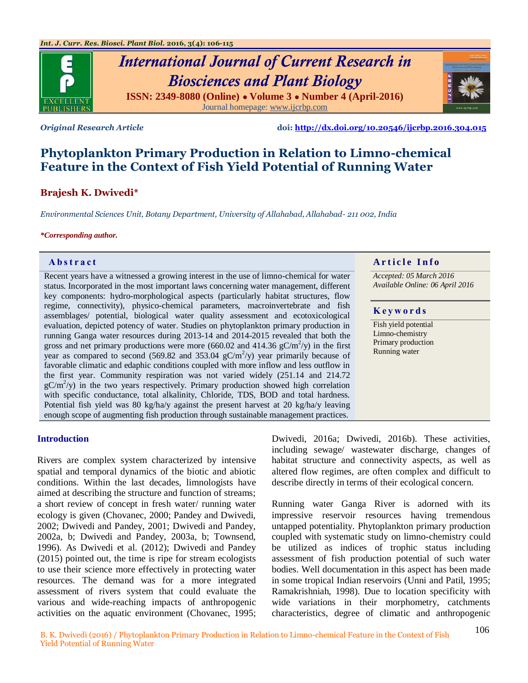

*Original Research Article* **doi:<http://dx.doi.org/10.20546/ijcrbp.2016.304.015>**

# **Phytoplankton Primary Production in Relation to Limno-chemical Feature in the Context of Fish Yield Potential of Running Water**

# **Brajesh K. Dwivedi\***

*Environmental Sciences Unit, Botany Department, University of Allahabad, Allahabad- 211 002, India*

#### *\*Corresponding author.*

Recent years have a witnessed a growing interest in the use of limno-chemical for water status. Incorporated in the most important laws concerning water management, different key components: hydro-morphological aspects (particularly habitat structures, flow regime, connectivity), physico-chemical parameters, macroinvertebrate and fish assemblages/ potential, biological water quality assessment and ecotoxicological evaluation, depicted potency of water. Studies on phytoplankton primary production in running Ganga water resources during 2013-14 and 2014-2015 revealed that both the gross and net primary productions were more (660.02 and 414.36  $gC/m^2$ /y) in the first year as compared to second (569.82 and 353.04  $gC/m^2$ /y) year primarily because of favorable climatic and edaphic conditions coupled with more inflow and less outflow in the first year. Community respiration was not varied widely (251.14 and 214.72  $gC/m^2$ /y) in the two years respectively. Primary production showed high correlation with specific conductance, total alkalinity, Chloride, TDS, BOD and total hardness. Potential fish yield was 80 kg/ha/y against the present harvest at 20 kg/ha/y leaving enough scope of augmenting fish production through sustainable management practices.

# **Abstract A A** raticle **Info**

*Accepted: 05 March 2016 Available Online: 06 April 2016*

#### **K e y w o r d s**

Fish yield potential Limno-chemistry Primary production Running water

#### **Introduction**

Rivers are complex system characterized by intensive spatial and temporal dynamics of the biotic and abiotic conditions. Within the last decades, limnologists have aimed at describing the structure and function of streams; a short review of concept in fresh water/ running water ecology is given (Chovanec, 2000; Pandey and Dwivedi, 2002; Dwivedi and Pandey, 2001; Dwivedi and Pandey, 2002a, b; Dwivedi and Pandey, 2003a, b; Townsend, 1996). As Dwivedi et al. (2012); Dwivedi and Pandey (2015) pointed out, the time is ripe for stream ecologists to use their science more effectively in protecting water resources. The demand was for a more integrated assessment of rivers system that could evaluate the various and wide-reaching impacts of anthropogenic activities on the aquatic environment (Chovanec, 1995; Dwivedi, 2016a; Dwivedi, 2016b). These activities, including sewage/ wastewater discharge, changes of habitat structure and connectivity aspects, as well as altered flow regimes, are often complex and difficult to describe directly in terms of their ecological concern.

Running water Ganga River is adorned with its impressive reservoir resources having tremendous untapped potentiality. Phytoplankton primary production coupled with systematic study on limno-chemistry could be utilized as indices of trophic status including assessment of fish production potential of such water bodies. Well documentation in this aspect has been made in some tropical Indian reservoirs (Unni and Patil, 1995; Ramakrishniah, 1998). Due to location specificity with wide variations in their morphometry, catchments characteristics, degree of climatic and anthropogenic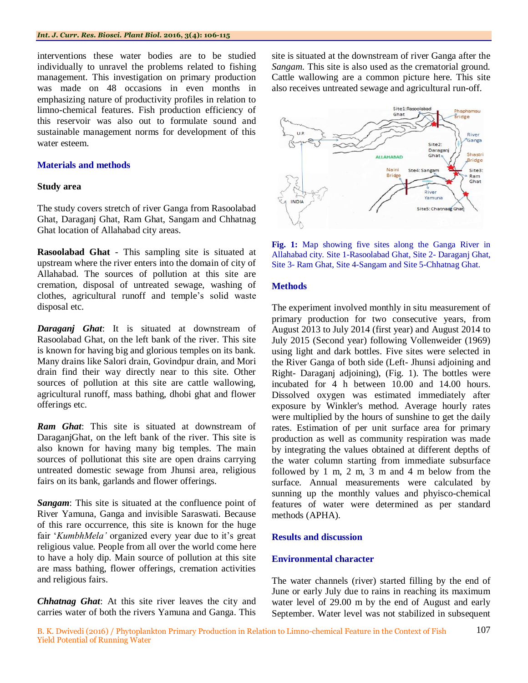interventions these water bodies are to be studied individually to unravel the problems related to fishing management. This investigation on primary production was made on 48 occasions in even months in emphasizing nature of productivity profiles in relation to limno-chemical features. Fish production efficiency of this reservoir was also out to formulate sound and sustainable management norms for development of this water esteem.

#### **Materials and methods**

#### **Study area**

The study covers stretch of river Ganga from Rasoolabad Ghat, Daraganj Ghat, Ram Ghat, Sangam and Chhatnag Ghat location of Allahabad city areas.

**Rasoolabad Ghat** - This sampling site is situated at upstream where the river enters into the domain of city of Allahabad. The sources of pollution at this site are cremation, disposal of untreated sewage, washing of clothes, agricultural runoff and temple's solid waste disposal etc.

*Daraganj Ghat*: It is situated at downstream of Rasoolabad Ghat, on the left bank of the river. This site is known for having big and glorious temples on its bank. Many drains like Salori drain, Govindpur drain, and Mori drain find their way directly near to this site. Other sources of pollution at this site are cattle wallowing, agricultural runoff, mass bathing, dhobi ghat and flower offerings etc.

*Ram Ghat*: This site is situated at downstream of DaraganjGhat, on the left bank of the river. This site is also known for having many big temples. The main sources of pollutionat this site are open drains carrying untreated domestic sewage from Jhunsi area, religious fairs on its bank, garlands and flower offerings.

*Sangam*: This site is situated at the confluence point of River Yamuna, Ganga and invisible Saraswati. Because of this rare occurrence, this site is known for the huge fair '*KumbhMela'* organized every year due to it's great religious value. People from all over the world come here to have a holy dip. Main source of pollution at this site are mass bathing, flower offerings, cremation activities and religious fairs.

*Chhatnag Ghat*: At this site river leaves the city and carries water of both the rivers Yamuna and Ganga. This site is situated at the downstream of river Ganga after the *Sangam.* This site is also used as the crematorial ground. Cattle wallowing are a common picture here. This site also receives untreated sewage and agricultural run-off.



**Fig. 1:** Map showing five sites along the Ganga River in Allahabad city. Site 1-Rasoolabad Ghat, Site 2- Daraganj Ghat, Site 3- Ram Ghat, Site 4-Sangam and Site 5-Chhatnag Ghat.

#### **Methods**

The experiment involved monthly in situ measurement of primary production for two consecutive years, from August 2013 to July 2014 (first year) and August 2014 to July 2015 (Second year) following Vollenweider (1969) using light and dark bottles. Five sites were selected in the River Ganga of both side (Left- Jhunsi adjoining and Right- Daraganj adjoining), (Fig. 1). The bottles were incubated for 4 h between 10.00 and 14.00 hours. Dissolved oxygen was estimated immediately after exposure by Winkler's method. Average hourly rates were multiplied by the hours of sunshine to get the daily rates. Estimation of per unit surface area for primary production as well as community respiration was made by integrating the values obtained at different depths of the water column starting from immediate subsurface followed by 1 m, 2 m, 3 m and 4 m below from the surface. Annual measurements were calculated by sunning up the monthly values and phyisco-chemical features of water were determined as per standard methods (APHA).

#### **Results and discussion**

#### **Environmental character**

The water channels (river) started filling by the end of June or early July due to rains in reaching its maximum water level of 29.00 m by the end of August and early September. Water level was not stabilized in subsequent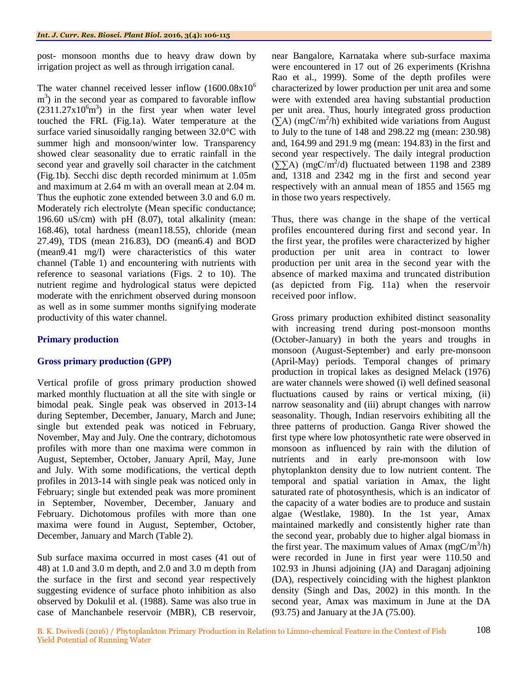post- monsoon months due to heavy draw down by irrigation project as well as through irrigation canal.

The water channel received lesser inflow  $(1600.08x10^6)$  $\text{m}^3$ ) in the second year as compared to favorable inflow  $(2311.27 \times 10^6 \text{m}^3)$  in the first year when water level touched the FRL (Fig.1a). Water temperature at the surface varied sinusoidally ranging between 32.0°C with summer high and monsoon/winter low. Transparency showed clear seasonality due to erratic rainfall in the second year and gravelly soil character in the catchment (Fig.1b). Secchi disc depth recorded minimum at 1.05m and maximum at 2.64 m with an overall mean at 2.04 m. Thus the euphotic zone extended between 3.0 and 6.0 m. Moderately rich electrolyte (Mean specific conductance; 196.60 uS/cm) with pH (8.07), total alkalinity (mean: 168.46), total hardness (mean118.55), chloride (mean 27.49), TDS (mean 216.83), DO (mean6.4) and BOD (mean9.41 mg/l) were characteristics of this water channel (Table 1) and encountering with nutrients with reference to seasonal variations (Figs. 2 to 10). The nutrient regime and hydrological status were depicted moderate with the enrichment observed during monsoon as well as in some summer months signifying moderate productivity of this water channel.

### **Primary production**

#### **Gross primary production (GPP)**

Vertical profile of gross primary production showed marked monthly fluctuation at all the site with single or bimodal peak. Single peak was observed in 2013-14 during September, December, January, March and June; single but extended peak was noticed in February, November, May and July. One the contrary, dichotomous profiles with more than one maxima were common in August, September, October, January April, May, June and July. With some modifications, the vertical depth profiles in 2013-14 with single peak was noticed only in February; single but extended peak was more prominent in September, November, December, January and February. Dichotomous profiles with more than one maxima were found in August, September, October, December, January and March (Table 2).

Sub surface maxima occurred in most cases (41 out of 48) at 1.0 and 3.0 m depth, and 2.0 and 3.0 m depth from the surface in the first and second year respectively suggesting evidence of surface photo inhibition as also observed by Dokulil et al. (1988). Same was also true in case of Manchanbele reservoir (MBR), CB reservoir,

near Bangalore, Karnataka where sub-surface maxima were encountered in 17 out of 26 experiments (Krishna Rao et al., 1999). Some of the depth profiles were characterized by lower production per unit area and some were with extended area having substantial production per unit area. Thus, hourly integrated gross production  $(\Sigma A)$  (mgC/m<sup>2</sup>/h) exhibited wide variations from August to July to the tune of 148 and 298.22 mg (mean: 230.98) and, 164.99 and 291.9 mg (mean: 194.83) in the first and second year respectively. The daily integral production  $(\sum \text{A})$  (mgC/m<sup>2</sup>/d) fluctuated between 1198 and 2389 and, 1318 and 2342 mg in the first and second year respectively with an annual mean of 1855 and 1565 mg in those two years respectively.

Thus, there was change in the shape of the vertical profiles encountered during first and second year. In the first year, the profiles were characterized by higher production per unit area in contract to lower production per unit area in the second year with the absence of marked maxima and truncated distribution (as depicted from Fig. 11a) when the reservoir received poor inflow.

Gross primary production exhibited distinct seasonality with increasing trend during post-monsoon months (October-January) in both the years and troughs in monsoon (August-September) and early pre-monsoon (April-May) periods. Temporal changes of primary production in tropical lakes as designed Melack (1976) are water channels were showed (i) well defined seasonal fluctuations caused by rains or vertical mixing, (ii) narrow seasonality and (iii) abrupt changes with narrow seasonality. Though, Indian reservoirs exhibiting all the three patterns of production. Ganga River showed the first type where low photosynthetic rate were observed in monsoon as influenced by rain with the dilution of nutrients and in early pre-monsoon with low phytoplankton density due to low nutrient content. The temporal and spatial variation in Amax, the light saturated rate of photosynthesis, which is an indicator of the capacity of a water bodies are to produce and sustain algae (Westlake, 1980). In the 1st year, Amax maintained markedly and consistently higher rate than the second year, probably due to higher algal biomass in the first year. The maximum values of Amax  $(mgC/m^3/h)$ were recorded in June in first year were 110.50 and 102.93 in Jhunsi adjoining (JA) and Daraganj adjoining (DA), respectively coinciding with the highest plankton density (Singh and Das, 2002) in this month. In the second year, Amax was maximum in June at the DA (93.75) and January at the JA (75.00).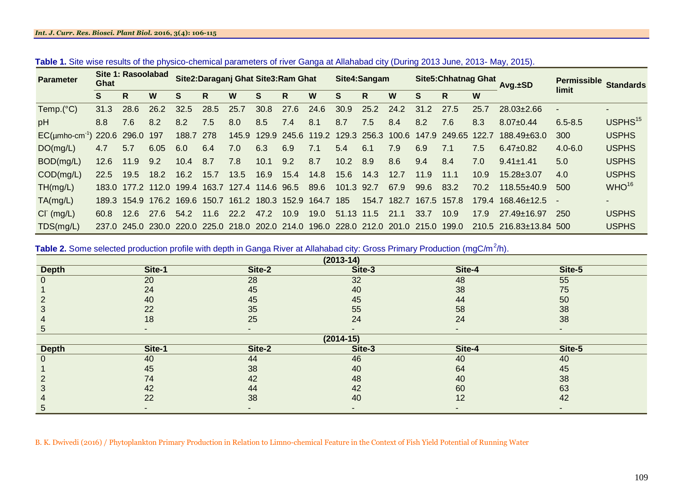#### *Int. J. Curr. Res. Biosci. Plant Biol.* **2016, 3(4): 106-115**

| <b>Parameter</b>                      | Site 1: Rasoolabad<br>Ghat |       |                         | Site2: Daraganj Ghat Site3: Ram Ghat |                   |                        |       | Site4:Sangam                                    |      |                               | <b>Site5: Chhatnag Ghat</b> |       |       | Avg. <sub>±</sub> SD | <b>Permissible</b> | <b>Standards</b>            |             |                     |
|---------------------------------------|----------------------------|-------|-------------------------|--------------------------------------|-------------------|------------------------|-------|-------------------------------------------------|------|-------------------------------|-----------------------------|-------|-------|----------------------|--------------------|-----------------------------|-------------|---------------------|
|                                       | S                          | R.    | W                       | S                                    | R                 | W                      | S     | R                                               | W    | S                             | R.                          | W     | S     | R                    | W                  |                             | limit       |                     |
| Temp.(°C)                             | 31.3                       | 28.6  | 26.2                    | 32.5                                 | 28.5              | 25.7                   | 30.8  | 27.6                                            | 24.6 | 30.9                          | 25.2                        | 24.2  | 31.2  | 27.5                 | 25.7               | $28.03 \pm 2.66$            |             |                     |
| pH                                    | 8.8                        | 7.6   | 8.2                     | 8.2                                  | 7.5               | 8.0                    | 8.5   | 7.4                                             | 8.1  | 8.7                           | 7.5                         | 8.4   | 8.2   | 7.6                  | 8.3                | $8.07 + 0.44$               | $6.5 - 8.5$ | USPHS <sup>15</sup> |
| $EC(\mu mho-cm^{-1})$ 220.6 296.0 197 |                            |       |                         | 188.7                                | 278               | 145.9                  | 129.9 |                                                 |      | 245.6 119.2 129.3 256.3 100.6 |                             |       |       | 147.9 249.65 122.7   |                    | $188.49 + 63.0$             | 300         | <b>USPHS</b>        |
| DO(mg/L)                              | 4.7                        | 5.7   | 6.05                    | 6.0                                  | 6.4               | 7.0                    | 6.3   | 6.9                                             | 7.1  | 5.4                           | 6.1                         | 7.9   | 6.9   | 7.1                  | 7.5                | $6.47 \pm 0.82$             | $4.0 - 6.0$ | <b>USPHS</b>        |
| BOD(mg/L)                             | 12.6                       | 11.9  | 9.2                     | 10.4                                 | 8.7               | 7.8                    | 10.1  | 9.2                                             | 8.7  | 10.2                          | 8.9                         | 8.6   | 9.4   | 8.4                  | 7.0                | $9.41 \pm 1.41$             | 5.0         | <b>USPHS</b>        |
| COD(mg/L)                             | 22.5                       | 19.5  | 18.2                    | 16.2                                 | 15.7              | 13.5                   | 16.9  | 15.4                                            | 14.8 | 15.6                          | 14.3                        | 12.7  | 11.9  | 11.1                 | 10.9               | $15.28 \pm 3.07$            | 4.0         | <b>USPHS</b>        |
| TH(mg/L)                              |                            |       | 183.0 177.2 112.0 199.4 |                                      |                   | 163.7 127.4 114.6 96.5 |       |                                                 | 89.6 | 101.3 92.7                    |                             | 67.9  | 99.6  | 83.2                 | 70.2               | $118.55 + 40.9$             | 500         | WHO <sup>16</sup>   |
| TA(mg/L)                              | 189.3                      | 154.9 |                         |                                      | 176.2 169.6 150.7 |                        |       | 161.2 180.3 152.9 164.7                         |      | 185                           | 154.7                       | 182.7 |       | 167.5 157.8          |                    | $179.4$ $168.46 \pm 12.5$ - |             |                     |
| $CI^{(mg/L)}$                         | 60.8                       | 12.6  | 27.6                    | 54.2                                 | 11.6              | 22.2                   | 47.2  | 10.9                                            | 19.0 | 51.13 11.5                    |                             | 21.1  | 33.7  | 10.9 <sup>°</sup>    | 17.9               | $27.49 \pm 16.97$           | 250         | <b>USPHS</b>        |
| TDS(mg/L)                             |                            |       |                         |                                      |                   |                        |       | 237.0 245.0 230.0 220.0 225.0 218.0 202.0 214.0 |      | 196.0 228.0 212.0 201.0       |                             |       | 215.0 | 199.0                |                    | 210.5 216.83±13.84 500      |             | <b>USPHS</b>        |

| Table 1. Site wise results of the physico-chemical parameters of river Ganga at Allahabad city (During 2013 June, 2013- May, 2015). |  |  |  |  |  |  |  |
|-------------------------------------------------------------------------------------------------------------------------------------|--|--|--|--|--|--|--|
|-------------------------------------------------------------------------------------------------------------------------------------|--|--|--|--|--|--|--|

Table 2. Some selected production profile with depth in Ganga River at Allahabad city: Gross Primary Production (mgC/m<sup>2</sup>/h).

| <u>ັ</u><br>$\overline{\phantom{a}}$<br>$(2013-14)$ |                          |                          |        |        |        |  |  |  |  |  |
|-----------------------------------------------------|--------------------------|--------------------------|--------|--------|--------|--|--|--|--|--|
| <b>Depth</b>                                        | Site-1                   | Site-2                   | Site-3 | Site-4 | Site-5 |  |  |  |  |  |
|                                                     | 20                       | 28                       | 32     | 48     | 55     |  |  |  |  |  |
|                                                     | 24                       | 45                       | 40     | 38     | 75     |  |  |  |  |  |
|                                                     | 40                       | 45                       | 45     | 44     | 50     |  |  |  |  |  |
|                                                     | 22                       | 35                       | 55     | 58     | 38     |  |  |  |  |  |
|                                                     | 18                       | 25                       | 24     | 24     | 38     |  |  |  |  |  |
| $\circ$                                             | $\overline{\phantom{0}}$ | $\overline{\phantom{a}}$ |        |        |        |  |  |  |  |  |
| $(2014-15)$                                         |                          |                          |        |        |        |  |  |  |  |  |
| <b>Depth</b>                                        | Site-1                   | Site-2                   | Site-3 | Site-4 | Site-5 |  |  |  |  |  |
|                                                     | 40                       | 44                       | 46     | 40     | 40     |  |  |  |  |  |
|                                                     | 45                       | 38                       | 40     | 64     | 45     |  |  |  |  |  |
|                                                     | 74                       | 42                       | 48     | 40     | 38     |  |  |  |  |  |
|                                                     | 42                       | 44                       | 42     | 60     | 63     |  |  |  |  |  |
|                                                     | 22                       | 38                       | 40     | 12     | 42     |  |  |  |  |  |
| C.                                                  |                          |                          |        |        |        |  |  |  |  |  |

B. K. Dwivedi (2016) / Phytoplankton Primary Production in Relation to Limno-chemical Feature in the Context of Fish Yield Potential of Running Water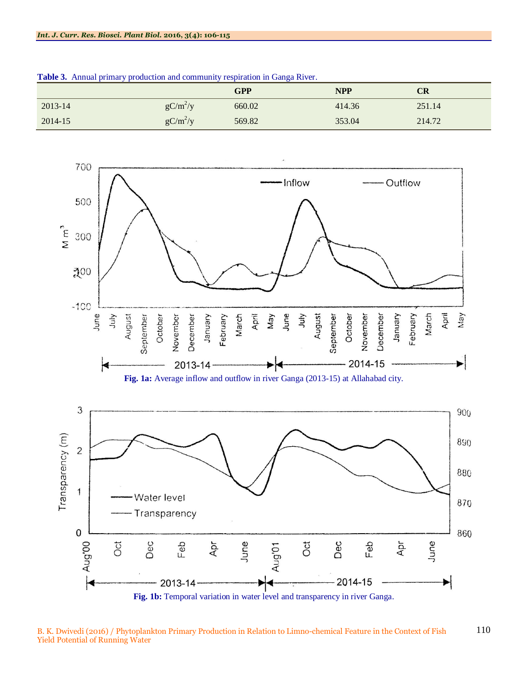|         |            | GPP    | <b>NPP</b> | $\mathbb{C}\mathbf{R}$ |
|---------|------------|--------|------------|------------------------|
| 2013-14 | $gC/m^2/y$ | 660.02 | 414.36     | 251.14                 |
| 2014-15 | $gC/m^2/y$ | 569.82 | 353.04     | 214.72                 |

**Table 3.** Annual primary production and community respiration in Ganga River.



B. K. Dwivedi (2016) / Phytoplankton Primary Production in Relation to Limno-chemical Feature in the Context of Fish Yield Potential of Running Water 110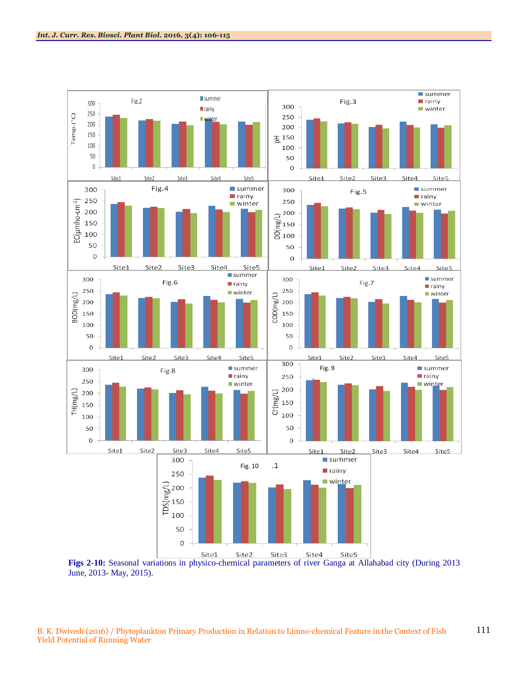

June, 2013- May, 2015).

B. K. Dwivedi (2016) / Phytoplankton Primary Production in Relation to Limno-chemical Feature in the Context of Fish Yield Potential of Running Water 111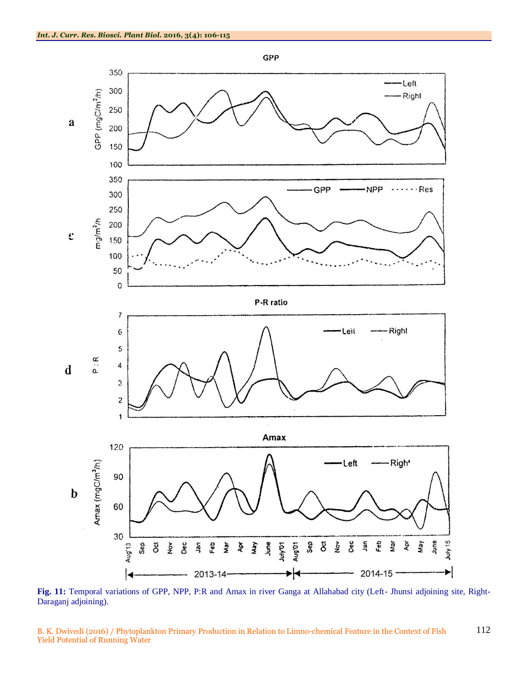

**Fig. 11:** Temporal variations of GPP, NPP, P:R and Amax in river Ganga at Allahabad city (Left- Jhunsi adjoining site, Right-Daraganj adjoining).

B. K. Dwivedi (2016) / Phytoplankton Primary Production in Relation to Limno-chemical Feature in the Context of Fish Yield Potential of Running Water 112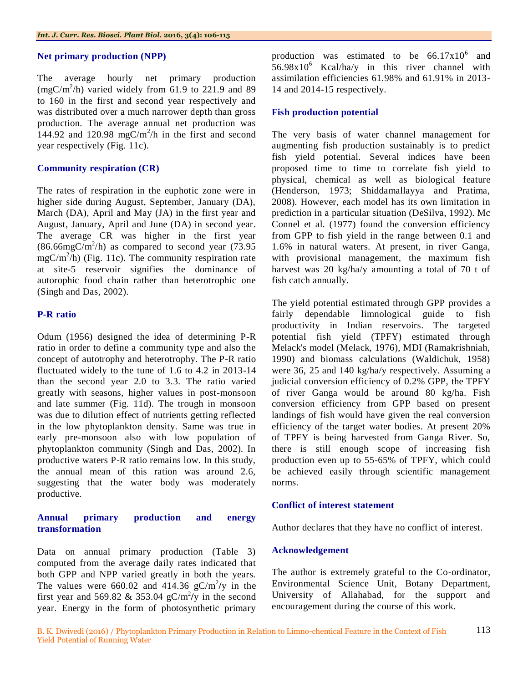#### **Net primary production (NPP)**

The average hourly net primary production  $(mgC/m^2/h)$  varied widely from 61.9 to 221.9 and 89 to 160 in the first and second year respectively and was distributed over a much narrower depth than gross production. The average annual net production was 144.92 and 120.98 mgC/m<sup>2</sup>/h in the first and second year respectively (Fig. 11c).

#### **Community respiration (CR)**

The rates of respiration in the euphotic zone were in higher side during August, September, January (DA), March (DA), April and May (JA) in the first year and August, January, April and June (DA) in second year. The average CR was higher in the first year  $(86.66 \text{mgC/m}^2/h)$  as compared to second year (73.95)  $mgC/m^2/h$ ) (Fig. 11c). The community respiration rate at site-5 reservoir signifies the dominance of autorophic food chain rather than heterotrophic one (Singh and Das, 2002).

#### **P-R ratio**

Odum (1956) designed the idea of determining P-R ratio in order to define a community type and also the concept of autotrophy and heterotrophy. The P-R ratio fluctuated widely to the tune of 1.6 to 4.2 in 2013-14 than the second year 2.0 to 3.3. The ratio varied greatly with seasons, higher values in post-monsoon and late summer (Fig. 11d). The trough in monsoon was due to dilution effect of nutrients getting reflected in the low phytoplankton density. Same was true in early pre-monsoon also with low population of phytoplankton community (Singh and Das, 2002). In productive waters P-R ratio remains low. In this study, the annual mean of this ration was around 2.6, suggesting that the water body was moderately productive.

#### **Annual primary production and energy transformation**

Data on annual primary production (Table 3) computed from the average daily rates indicated that both GPP and NPP varied greatly in both the years. The values were  $660.02$  and  $414.36$  gC/m<sup>2</sup>/y in the first year and 569.82 & 353.04  $gC/m^2/y$  in the second year. Energy in the form of photosynthetic primary

production was estimated to be  $66.17 \times 10^6$  and  $56.98x10^6$  Kcal/ha/y in this river channel with assimilation efficiencies 61.98% and 61.91% in 2013- 14 and 2014-15 respectively.

#### **Fish production potential**

The very basis of water channel management for augmenting fish production sustainably is to predict fish yield potential. Several indices have been proposed time to time to correlate fish yield to physical, chemical as well as biological feature (Henderson, 1973; Shiddamallayya and Pratima, 2008). However, each model has its own limitation in prediction in a particular situation (DeSilva, 1992). Mc Connel et al. (1977) found the conversion efficiency from GPP to fish yield in the range between 0.1 and 1.6% in natural waters. At present, in river Ganga, with provisional management, the maximum fish harvest was 20 kg/ha/y amounting a total of 70 t of fish catch annually.

The yield potential estimated through GPP provides a fairly dependable limnological guide to fish productivity in Indian reservoirs. The targeted potential fish yield (TPFY) estimated through Melack's model (Melack, 1976), MDI (Ramakrishniah, 1990) and biomass calculations (Waldichuk, 1958) were 36, 25 and 140 kg/ha/y respectively. Assuming a judicial conversion efficiency of 0.2% GPP, the TPFY of river Ganga would be around 80 kg/ha. Fish conversion efficiency from GPP based on present landings of fish would have given the real conversion efficiency of the target water bodies. At present 20% of TPFY is being harvested from Ganga River. So, there is still enough scope of increasing fish production even up to 55-65% of TPFY, which could be achieved easily through scientific management norms.

#### **Conflict of interest statement**

Author declares that they have no conflict of interest.

#### **Acknowledgement**

The author is extremely grateful to the Co-ordinator, Environmental Science Unit, Botany Department, University of Allahabad, for the support and encouragement during the course of this work.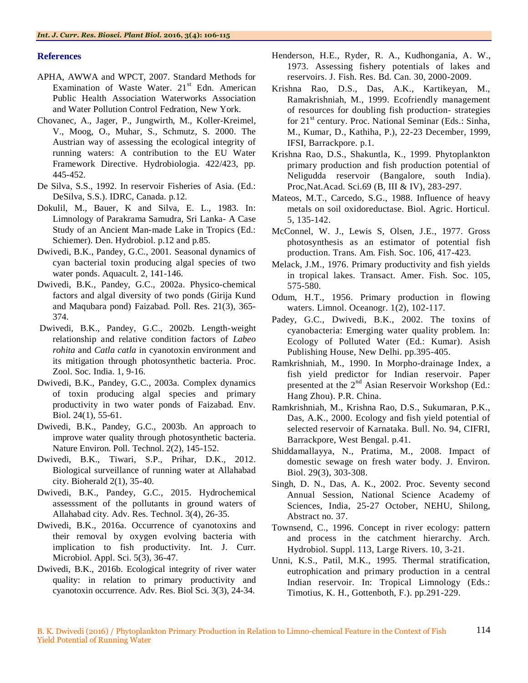#### **References**

- APHA, AWWA and WPCT, 2007. Standard Methods for Examination of Waste Water.  $21<sup>st</sup>$  Edn. American Public Health Association Waterworks Association and Water Pollution Control Fedration, New York.
- Chovanec, A., Jager, P., Jungwirth, M., Koller-Kreimel, V., Moog, O., Muhar, S., Schmutz, S. 2000. The Austrian way of assessing the ecological integrity of running waters: A contribution to the EU Water Framework Directive. Hydrobiologia. 422/423, pp. 445-452.
- De Silva, S.S., 1992. In reservoir Fisheries of Asia. (Ed.: DeSilva, S.S.). IDRC, Canada. p.12.
- Dokulil, M., Bauer, K and Silva, E. L., 1983. In: Limnology of Parakrama Samudra, Sri Lanka- A Case Study of an Ancient Man-made Lake in Tropics (Ed.: Schiemer). Den. Hydrobiol. p.12 and p.85.
- Dwivedi, B.K., Pandey, G.C., 2001. Seasonal dynamics of cyan bacterial toxin producing algal species of two water ponds. Aquacult. 2, 141-146.
- Dwivedi, B.K., Pandey, G.C., 2002a. Physico-chemical factors and algal diversity of two ponds (Girija Kund and Maqubara pond) Faizabad. Poll. Res. 21(3), 365- 374.
- Dwivedi, B.K., Pandey, G.C., 2002b. Length-weight relationship and relative condition factors of *Labeo rohita* and *Catla catla* in cyanotoxin environment and its mitigation through photosynthetic bacteria. Proc. Zool. Soc. India. 1, 9-16.
- Dwivedi, B.K., Pandey, G.C., 2003a. Complex dynamics of toxin producing algal species and primary productivity in two water ponds of Faizabad. Env. Biol. 24(1), 55-61.
- Dwivedi, B.K., Pandey, G.C., 2003b. An approach to improve water quality through photosynthetic bacteria. Nature Environ. Poll. Technol. 2(2), 145-152.
- Dwivedi, B.K., Tiwari, S.P., Prihar, D.K., 2012. Biological surveillance of running water at Allahabad city. Bioherald 2(1), 35-40.
- Dwivedi, B.K., Pandey, G.C., 2015. Hydrochemical assesssment of the pollutants in ground waters of Allahabad city. Adv. Res. Technol. 3(4), 26-35.
- Dwivedi, B.K., 2016a. Occurrence of cyanotoxins and their removal by oxygen evolving bacteria with implication to fish productivity. Int. J. Curr. Microbiol. Appl. Sci. 5(3), 36-47.
- Dwivedi, B.K., 2016b. Ecological integrity of river water quality: in relation to primary productivity and cyanotoxin occurrence. Adv. Res. Biol Sci. 3(3), 24-34.
- Henderson, H.E., Ryder, R. A., Kudhongania, A. W., 1973. Assessing fishery potentials of lakes and reservoirs. J. Fish. Res. Bd. Can. 30, 2000-2009.
- Krishna Rao, D.S., Das, A.K., Kartikeyan, M., Ramakrishniah, M., 1999. Ecofriendly management of resources for doubling fish production- strategies for  $21<sup>st</sup>$  century. Proc. National Seminar (Eds.: Sinha, M., Kumar, D., Kathiha, P.), 22-23 December, 1999, IFSI, Barrackpore. p.1.
- Krishna Rao, D.S., Shakuntla, K., 1999. Phytoplankton primary production and fish production potential of Neligudda reservoir (Bangalore, south India). Proc,Nat.Acad. Sci.69 (B, III & IV), 283-297.
- Mateos, M.T., Carcedo, S.G., 1988. Influence of heavy metals on soil oxidoreductase. Biol. Agric. Horticul. 5, 135-142.
- McConnel, W. J., Lewis S, Olsen, J.E., 1977. Gross photosynthesis as an estimator of potential fish production. Trans. Am. Fish. Soc. 106, 417-423.
- Melack, J.M., 1976. Primary productivity and fish yields in tropical lakes. Transact. Amer. Fish. Soc. 105, 575-580.
- Odum, H.T., 1956. Primary production in flowing waters. Limnol. Oceanogr. 1(2), 102-117.
- Padey, G.C., Dwivedi, B.K., 2002. The toxins of cyanobacteria: Emerging water quality problem. In: Ecology of Polluted Water (Ed.: Kumar). Asish Publishing House, New Delhi. pp.395-405.
- Ramkrishniah, M., 1990. In Morpho-drainage Index, a fish yield predictor for Indian reservoir. Paper presented at the 2<sup>nd</sup> Asian Reservoir Workshop (Ed.: Hang Zhou). P.R. China.
- Ramkrishniah, M., Krishna Rao, D.S., Sukumaran, P.K., Das, A.K., 2000. Ecology and fish yield potential of selected reservoir of Karnataka. Bull. No. 94, CIFRI, Barrackpore, West Bengal. p.41.
- Shiddamallayya, N., Pratima, M., 2008. Impact of domestic sewage on fresh water body. J. Environ. Biol. 29(3), 303-308.
- Singh, D. N., Das, A. K., 2002. Proc. Seventy second Annual Session, National Science Academy of Sciences, India, 25-27 October, NEHU, Shilong, Abstract no. 37.
- Townsend, C., 1996. Concept in river ecology: pattern and process in the catchment hierarchy. Arch. Hydrobiol. Suppl. 113, Large Rivers. 10, 3-21.
- Unni, K.S., Patil, M.K., 1995. Thermal stratification, eutrophication and primary production in a central Indian reservoir. In: Tropical Limnology (Eds.: Timotius, K. H., Gottenboth, F.). pp.291-229.